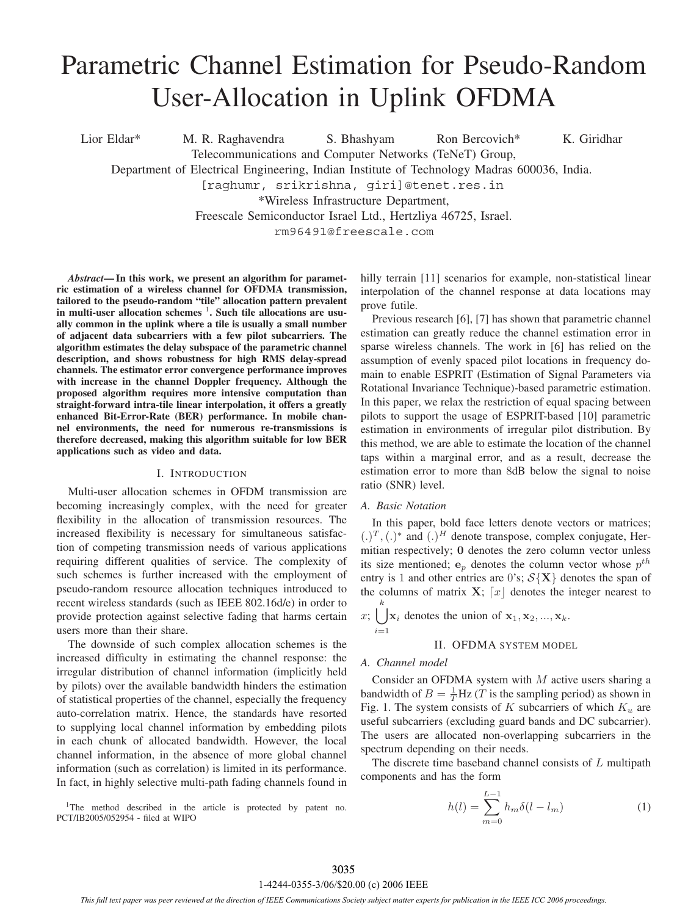# Parametric Channel Estimation for Pseudo-Random User-Allocation in Uplink OFDMA

Lior Eldar\* M. R. Raghavendra S. Bhashyam Ron Bercovich\* K. Giridhar Telecommunications and Computer Networks (TeNeT) Group, Department of Electrical Engineering, Indian Institute of Technology Madras 600036, India. [raghumr, srikrishna, giri]@tenet.res.in \*Wireless Infrastructure Department,

Freescale Semiconductor Israel Ltd., Hertzliya 46725, Israel.

rm96491@freescale.com

*Abstract***— In this work, we present an algorithm for parametric estimation of a wireless channel for OFDMA transmission, tailored to the pseudo-random "tile" allocation pattern prevalent** in multi-user allocation schemes <sup>1</sup>. Such tile allocations are usu**ally common in the uplink where a tile is usually a small number of adjacent data subcarriers with a few pilot subcarriers. The algorithm estimates the delay subspace of the parametric channel description, and shows robustness for high RMS delay-spread channels. The estimator error convergence performance improves with increase in the channel Doppler frequency. Although the proposed algorithm requires more intensive computation than straight-forward intra-tile linear interpolation, it offers a greatly enhanced Bit-Error-Rate (BER) performance. In mobile channel environments, the need for numerous re-transmissions is therefore decreased, making this algorithm suitable for low BER applications such as video and data.**

## I. INTRODUCTION

Multi-user allocation schemes in OFDM transmission are becoming increasingly complex, with the need for greater flexibility in the allocation of transmission resources. The increased flexibility is necessary for simultaneous satisfaction of competing transmission needs of various applications requiring different qualities of service. The complexity of such schemes is further increased with the employment of pseudo-random resource allocation techniques introduced to recent wireless standards (such as IEEE 802.16d/e) in order to provide protection against selective fading that harms certain users more than their share.

The downside of such complex allocation schemes is the increased difficulty in estimating the channel response: the irregular distribution of channel information (implicitly held by pilots) over the available bandwidth hinders the estimation of statistical properties of the channel, especially the frequency auto-correlation matrix. Hence, the standards have resorted to supplying local channel information by embedding pilots in each chunk of allocated bandwidth. However, the local channel information, in the absence of more global channel information (such as correlation) is limited in its performance. In fact, in highly selective multi-path fading channels found in

<sup>1</sup>The method described in the article is protected by patent no. PCT/IB2005/052954 - filed at WIPO

hilly terrain [11] scenarios for example, non-statistical linear interpolation of the channel response at data locations may prove futile.

Previous research [6], [7] has shown that parametric channel estimation can greatly reduce the channel estimation error in sparse wireless channels. The work in [6] has relied on the assumption of evenly spaced pilot locations in frequency domain to enable ESPRIT (Estimation of Signal Parameters via Rotational Invariance Technique)-based parametric estimation. In this paper, we relax the restriction of equal spacing between pilots to support the usage of ESPRIT-based [10] parametric estimation in environments of irregular pilot distribution. By this method, we are able to estimate the location of the channel taps within a marginal error, and as a result, decrease the estimation error to more than 8dB below the signal to noise ratio (SNR) level.

## *A. Basic Notation*

In this paper, bold face letters denote vectors or matrices;  $(.)^T, (.)^*$  and  $(.)^H$  denote transpose, complex conjugate, Hermitian respectively; **0** denotes the zero column vector unless its size mentioned;  $e_p$  denotes the column vector whose  $p^{th}$ entry is 1 and other entries are 0's;  $S{X}$  denotes the span of the columns of matrix  $X$ ;  $\lceil x \rceil$  denotes the integer nearest to k

 $x; \cup \mathbf{x}_i$  denotes the union of  $\mathbf{x}_1, \mathbf{x}_2, ..., \mathbf{x}_k$ .  $i=1$ 

## II. OFDMA SYSTEM MODEL

## *A. Channel model*

Consider an OFDMA system with  $M$  active users sharing a bandwidth of  $B = \frac{1}{T}$ Hz (*T* is the sampling period) as shown in Fig. 1. The system consists of K subcarriers of which  $K_u$  are useful subcarriers (excluding guard bands and DC subcarrier). The users are allocated non-overlapping subcarriers in the spectrum depending on their needs.

The discrete time baseband channel consists of L multipath components and has the form

$$
h(l) = \sum_{m=0}^{L-1} h_m \delta(l - l_m)
$$
 (1)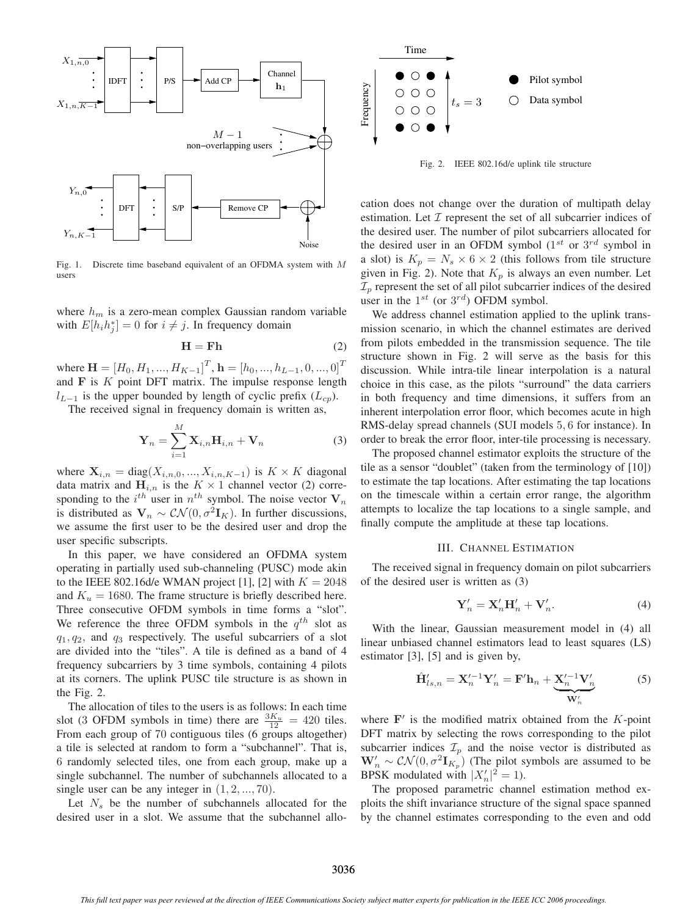

Fig. 1. Discrete time baseband equivalent of an OFDMA system with *M* users

where  $h_m$  is a zero-mean complex Gaussian random variable with  $E[h_i h_j^*]=0$  for  $i \neq j$ . In frequency domain

$$
\mathbf{H} = \mathbf{F} \mathbf{h} \tag{2}
$$

where  $\mathbf{H} = [H_0, H_1, ..., H_{K-1}]^T$ ,  $\mathbf{h} = [h_0, ..., h_{L-1}, 0, ..., 0]^T$ and **F** is K point DFT matrix. The impulse response length  $l_{L-1}$  is the upper bounded by length of cyclic prefix ( $L_{cp}$ ).

The received signal in frequency domain is written as,

$$
\mathbf{Y}_n = \sum_{i=1}^M \mathbf{X}_{i,n} \mathbf{H}_{i,n} + \mathbf{V}_n
$$
 (3)

where  $\mathbf{X}_{i,n} = \text{diag}(X_{i,n,0},...,X_{i,n,K-1})$  is  $K \times K$  diagonal data matrix and  $H_{i,n}$  is the  $K \times 1$  channel vector (2) corresponding to the  $i^{th}$  user in  $n^{th}$  symbol. The noise vector  $V_n$ is distributed as  $V_n \sim \mathcal{CN}(0, \sigma^2 I_K)$ . In further discussions, we assume the first user to be the desired user and drop the user specific subscripts.

In this paper, we have considered an OFDMA system operating in partially used sub-channeling (PUSC) mode akin to the IEEE 802.16d/e WMAN project [1], [2] with  $K = 2048$ and  $K_u = 1680$ . The frame structure is briefly described here. Three consecutive OFDM symbols in time forms a "slot". We reference the three OFDM symbols in the  $q^{th}$  slot as  $q_1, q_2$ , and  $q_3$  respectively. The useful subcarriers of a slot are divided into the "tiles". A tile is defined as a band of 4 frequency subcarriers by 3 time symbols, containing 4 pilots at its corners. The uplink PUSC tile structure is as shown in the Fig. 2.

The allocation of tiles to the users is as follows: In each time slot (3 OFDM symbols in time) there are  $\frac{3K_u}{12} = 420$  tiles. From each group of 70 contiguous tiles (6 groups altogether) a tile is selected at random to form a "subchannel". That is, 6 randomly selected tiles, one from each group, make up a single subchannel. The number of subchannels allocated to a single user can be any integer in  $(1, 2, \ldots, 70)$ .

Let  $N<sub>s</sub>$  be the number of subchannels allocated for the desired user in a slot. We assume that the subchannel allo-



Fig. 2. IEEE 802.16d/e uplink tile structure

cation does not change over the duration of multipath delay estimation. Let  $I$  represent the set of all subcarrier indices of the desired user. The number of pilot subcarriers allocated for the desired user in an OFDM symbol ( $1^{st}$  or  $3^{rd}$  symbol in a slot) is  $K_p = N_s \times 6 \times 2$  (this follows from tile structure given in Fig. 2). Note that  $K_p$  is always an even number. Let  $\mathcal{I}_p$  represent the set of all pilot subcarrier indices of the desired user in the  $1^{st}$  (or  $3^{rd}$ ) OFDM symbol.

We address channel estimation applied to the uplink transmission scenario, in which the channel estimates are derived from pilots embedded in the transmission sequence. The tile structure shown in Fig. 2 will serve as the basis for this discussion. While intra-tile linear interpolation is a natural choice in this case, as the pilots "surround" the data carriers in both frequency and time dimensions, it suffers from an inherent interpolation error floor, which becomes acute in high RMS-delay spread channels (SUI models 5, 6 for instance). In order to break the error floor, inter-tile processing is necessary.

The proposed channel estimator exploits the structure of the tile as a sensor "doublet" (taken from the terminology of [10]) to estimate the tap locations. After estimating the tap locations on the timescale within a certain error range, the algorithm attempts to localize the tap locations to a single sample, and finally compute the amplitude at these tap locations.

## III. CHANNEL ESTIMATION

The received signal in frequency domain on pilot subcarriers of the desired user is written as (3)

$$
\mathbf{Y}'_n = \mathbf{X}'_n \mathbf{H}'_n + \mathbf{V}'_n. \tag{4}
$$

With the linear, Gaussian measurement model in (4) all linear unbiased channel estimators lead to least squares (LS) estimator [3], [5] and is given by,

$$
\hat{\mathbf{H}}'_{ls,n} = \mathbf{X}'^{-1}_{n} \mathbf{Y}'_{n} = \mathbf{F}' \mathbf{h}_{n} + \underbrace{\mathbf{X}'^{-1}_{n} \mathbf{V}'_{n}}_{\mathbf{W}'_{n}}
$$
(5)

where  $\mathbf{F}'$  is the modified matrix obtained from the  $K$ -point DFT matrix by selecting the rows corresponding to the pilot subcarrier indices  $\mathcal{I}_p$  and the noise vector is distributed as  $\mathbf{W}'_n \sim \mathcal{CN}(0, \sigma^2 \mathbf{I}_{K_p})$  (The pilot symbols are assumed to be BPSK modulated with  $|X'_n|^2 = 1$ ).

The proposed parametric channel estimation method exploits the shift invariance structure of the signal space spanned by the channel estimates corresponding to the even and odd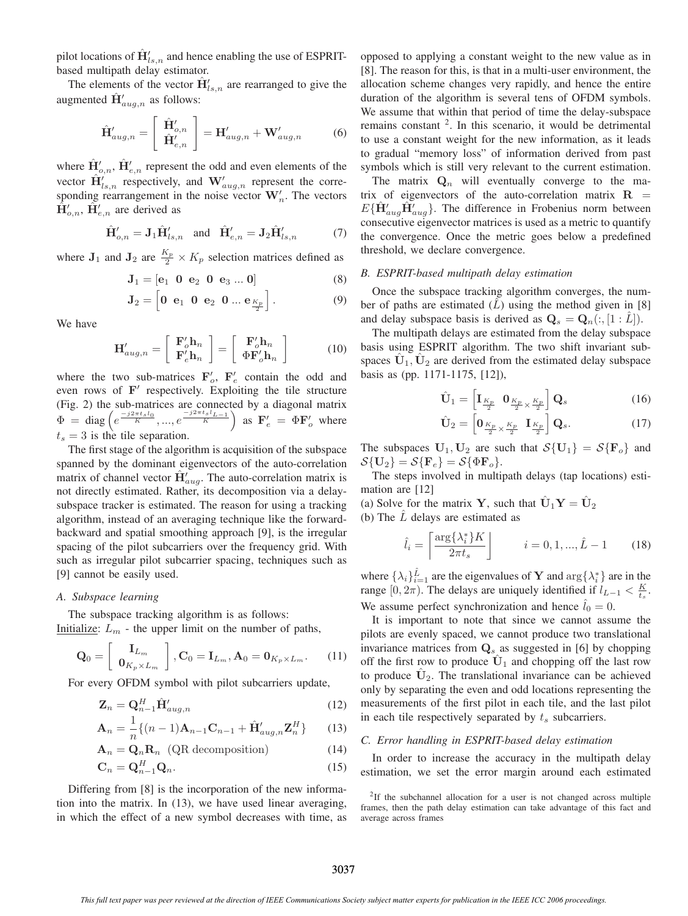pilot locations of  $\hat{\mathbf{H}}'_{ls,n}$  and hence enabling the use of ESPRITbased multipath delay estimator.

The elements of the vector  $\hat{\mathbf{H}}'_{ls,n}$  are rearranged to give the augmented  $\hat{\mathbf{H}}'_{aug,n}$  as follows:

$$
\hat{\mathbf{H}}'_{aug,n} = \begin{bmatrix} \hat{\mathbf{H}}'_{o,n} \\ \hat{\mathbf{H}}'_{e,n} \end{bmatrix} = \mathbf{H}'_{aug,n} + \mathbf{W}'_{aug,n}
$$
(6)

where  $\hat{\mathbf{H}}'_{o,n}$ ,  $\hat{\mathbf{H}}'_{e,n}$  represent the odd and even elements of the vector  $\hat{\mathbf{H}}'_{ls,n}$  respectively, and  $\mathbf{W}'_{aug,n}$  represent the corresponding rearrangement in the noise vector  $W_n'$ . The vectors  $\hat{\mathbf{H}}'_{o,n}$ ,  $\tilde{\mathbf{H}}'_{e,n}$  are derived as

$$
\hat{\mathbf{H}}'_{o,n} = \mathbf{J}_1 \hat{\mathbf{H}}'_{ls,n} \quad \text{and} \quad \hat{\mathbf{H}}'_{e,n} = \mathbf{J}_2 \hat{\mathbf{H}}'_{ls,n} \tag{7}
$$

where  $J_1$  and  $J_2$  are  $\frac{K_p}{2} \times K_p$  selection matrices defined as

$$
\mathbf{J}_1 = [\mathbf{e}_1 \ 0 \ \mathbf{e}_2 \ 0 \ \mathbf{e}_3 \dots 0] \tag{8}
$$

$$
\mathbf{J}_2 = \begin{bmatrix} 0 & \mathbf{e}_1 & 0 & \mathbf{e}_2 & 0 & \dots & \mathbf{e}_{\frac{K_p}{2}} \end{bmatrix} . \tag{9}
$$

We have

$$
\mathbf{H}'_{aug,n} = \left[ \begin{array}{c} \mathbf{F}'_o \mathbf{h}_n \\ \mathbf{F}'_e \mathbf{h}_n \end{array} \right] = \left[ \begin{array}{c} \mathbf{F}'_o \mathbf{h}_n \\ \Phi \mathbf{F}'_o \mathbf{h}_n \end{array} \right] \tag{10}
$$

where the two sub-matrices  $\mathbf{F}'_o$ ,  $\mathbf{F}'_e$  contain the odd and even rows of F<sup>'</sup> respectively. Exploiting the tile structure (Fig. 2) the sub-matrices are connected by a diagonal matrix  $\Phi = \text{diag}\left(e^{\frac{-j2\pi t_s l_0}{K}}, ..., e^{\frac{-j2\pi t_s l_{L-1}}{K}}\right)$  as  $\mathbf{F}'_e = \Phi \mathbf{F}'_o$  where  $t_s = 3$  is the tile separation.

The first stage of the algorithm is acquisition of the subspace spanned by the dominant eigenvectors of the auto-correlation matrix of channel vector  $\hat{\mathbf{H}}'_{aug}$ . The auto-correlation matrix is not directly estimated. Rather, its decomposition via a delaysubspace tracker is estimated. The reason for using a tracking algorithm, instead of an averaging technique like the forwardbackward and spatial smoothing approach [9], is the irregular spacing of the pilot subcarriers over the frequency grid. With such as irregular pilot subcarrier spacing, techniques such as [9] cannot be easily used.

### *A. Subspace learning*

The subspace tracking algorithm is as follows: Initialize:  $L_m$  - the upper limit on the number of paths,

$$
\mathbf{Q}_0 = \left[ \begin{array}{c} \mathbf{I}_{L_m} \\ \mathbf{0}_{K_p \times L_m} \end{array} \right], \mathbf{C}_0 = \mathbf{I}_{L_m}, \mathbf{A}_0 = \mathbf{0}_{K_p \times L_m}. \tag{11}
$$

For every OFDM symbol with pilot subcarriers update,

$$
\mathbf{Z}_n = \mathbf{Q}_{n-1}^H \hat{\mathbf{H}}'_{aug,n} \tag{12}
$$

$$
\mathbf{A}_n = \frac{1}{n} \{ (n-1)\mathbf{A}_{n-1} \mathbf{C}_{n-1} + \hat{\mathbf{H}}'_{aug,n} \mathbf{Z}_n^H \} \qquad (13)
$$

$$
\mathbf{A}_n = \mathbf{Q}_n \mathbf{R}_n \quad \text{(QR decomposition)} \tag{14}
$$

$$
\mathbf{C}_n = \mathbf{Q}_{n-1}^H \mathbf{Q}_n. \tag{15}
$$

Differing from [8] is the incorporation of the new information into the matrix. In (13), we have used linear averaging, in which the effect of a new symbol decreases with time, as opposed to applying a constant weight to the new value as in [8]. The reason for this, is that in a multi-user environment, the allocation scheme changes very rapidly, and hence the entire duration of the algorithm is several tens of OFDM symbols. We assume that within that period of time the delay-subspace remains constant 2. In this scenario, it would be detrimental to use a constant weight for the new information, as it leads to gradual "memory loss" of information derived from past symbols which is still very relevant to the current estimation.

The matrix  $\mathbf{Q}_n$  will eventually converge to the matrix of eigenvectors of the auto-correlation matrix  $\mathbf{R}$  =  $E\{\hat{\mathbf{H}}'_{aug}\hat{\mathbf{H}}'_{aug}\}$ . The difference in Frobenius norm between consecutive eigenvector matrices is used as a metric to quantify the convergence. Once the metric goes below a predefined threshold, we declare convergence.

#### *B. ESPRIT-based multipath delay estimation*

Once the subspace tracking algorithm converges, the number of paths are estimated  $(L)$  using the method given in [8] and delay subspace basis is derived as  $Q_s = Q_n(:, [1:L])$ .

The multipath delays are estimated from the delay subspace basis using ESPRIT algorithm. The two shift invariant subspaces  $U_1, U_2$  are derived from the estimated delay subspace basis as (pp. 1171-1175, [12]),

$$
\hat{\mathbf{U}}_1 = \begin{bmatrix} \mathbf{I}_{\frac{K_p}{2}} & \mathbf{0}_{\frac{K_p}{2} \times \frac{K_p}{2}} \end{bmatrix} \mathbf{Q}_s \tag{16}
$$

$$
\hat{\mathbf{U}}_2 = \begin{bmatrix} \mathbf{0}_{\frac{K_p}{2} \times \frac{K_p}{2}} & \mathbf{I}_{\frac{K_p}{2}} \end{bmatrix} \mathbf{Q}_s.
$$
 (17)

The subspaces  $U_1, U_2$  are such that  $\mathcal{S}\{\mathbf{U}_1\} = \mathcal{S}\{\mathbf{F}_o\}$  and  $\mathcal{S}\{\mathbf{U}_2\} = \mathcal{S}\{\mathbf{F}_e\} = \mathcal{S}\{\Phi\mathbf{F}_o\}.$ 

The steps involved in multipath delays (tap locations) estimation are [12]

(a) Solve for the matrix **Y**, such that  $\hat{\mathbf{U}}_1\mathbf{Y} = \hat{\mathbf{U}}_2$ 

(b) The  $\overline{L}$  delays are estimated as

$$
\hat{l}_i = \left\lceil \frac{\arg\{\lambda_i^*\} K}{2\pi t_s} \right\rceil \qquad i = 0, 1, ..., \hat{L} - 1 \qquad (18)
$$

where  $\{\lambda_i\}_{i=1}^{\hat{L}}$  are the eigenvalues of **Y** and  $\arg\{\lambda_i^*\}$  are in the range  $[0, 2\pi)$ . The delays are uniquely identified if  $l_{L-1} < \frac{K}{t_s}$ . We assume perfect synchronization and hence  $l_0 = 0$ .

It is important to note that since we cannot assume the pilots are evenly spaced, we cannot produce two translational invariance matrices from **Q**<sup>s</sup> as suggested in [6] by chopping off the first row to produce  $\hat{U}_1$  and chopping off the last row to produce  $\hat{U}_2$ . The translational invariance can be achieved only by separating the even and odd locations representing the measurements of the first pilot in each tile, and the last pilot in each tile respectively separated by  $t_s$  subcarriers.

### *C. Error handling in ESPRIT-based delay estimation*

In order to increase the accuracy in the multipath delay estimation, we set the error margin around each estimated

<sup>&</sup>lt;sup>2</sup>If the subchannel allocation for a user is not changed across multiple frames, then the path delay estimation can take advantage of this fact and average across frames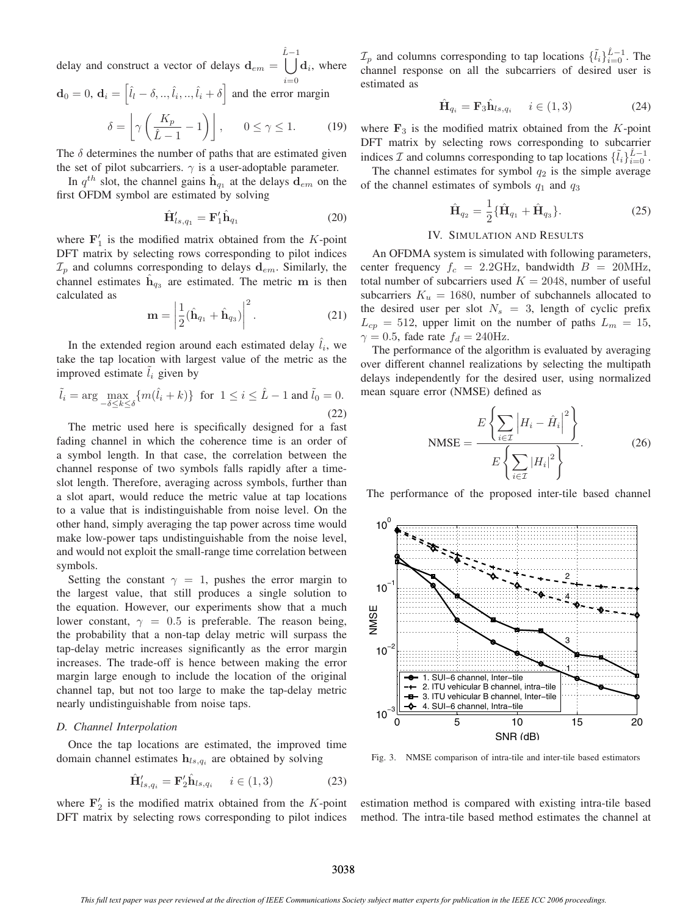delay and construct a vector of delays  $\mathbf{d}_{em} = \begin{bmatrix} L-1 \\ \end{bmatrix} \mathbf{d}_i$ , where Lˆ  $i=0$ 

$$
\mathbf{d}_0 = 0, \ \mathbf{d}_i = \left[ \hat{l}_l - \delta, ..., \hat{l}_i, ..., \hat{l}_i + \delta \right] \text{ and the error margin}
$$

$$
\delta = \left[ \gamma \left( \frac{K_p}{\hat{L} - 1} - 1 \right) \right], \qquad 0 \le \gamma \le 1. \tag{19}
$$

The  $\delta$  determines the number of paths that are estimated given the set of pilot subcarriers.  $\gamma$  is a user-adoptable parameter.

In  $q^{th}$  slot, the channel gains  $\mathbf{h}_{q_1}$  at the delays  $\mathbf{d}_{em}$  on the first OFDM symbol are estimated by solving

$$
\hat{\mathbf{H}}'_{ls,q_1} = \mathbf{F}'_1 \hat{\mathbf{h}}_{q_1} \tag{20}
$$

where  $\mathbf{F}'_1$  is the modified matrix obtained from the K-point DFT matrix by selecting rows corresponding to pilot indices  $\mathcal{I}_p$  and columns corresponding to delays  $\mathbf{d}_{em}$ . Similarly, the channel estimates  $\mathbf{h}_{q3}$  are estimated. The metric **m** is then calculated as

$$
\mathbf{m} = \left| \frac{1}{2} (\hat{\mathbf{h}}_{q_1} + \hat{\mathbf{h}}_{q_3}) \right|^2.
$$
 (21)

In the extended region around each estimated delay  $l_i$ , we take the tap location with largest value of the metric as the improved estimate  $l_i$  given by

$$
\tilde{l}_i = \arg \max_{-\delta \le k \le \delta} \{ m(\hat{l}_i + k) \} \text{ for } 1 \le i \le \hat{L} - 1 \text{ and } \tilde{l}_0 = 0.
$$
\n(22)

The metric used here is specifically designed for a fast fading channel in which the coherence time is an order of a symbol length. In that case, the correlation between the channel response of two symbols falls rapidly after a timeslot length. Therefore, averaging across symbols, further than a slot apart, would reduce the metric value at tap locations to a value that is indistinguishable from noise level. On the other hand, simply averaging the tap power across time would make low-power taps undistinguishable from the noise level, and would not exploit the small-range time correlation between symbols.

Setting the constant  $\gamma = 1$ , pushes the error margin to the largest value, that still produces a single solution to the equation. However, our experiments show that a much lower constant,  $\gamma = 0.5$  is preferable. The reason being, the probability that a non-tap delay metric will surpass the tap-delay metric increases significantly as the error margin increases. The trade-off is hence between making the error margin large enough to include the location of the original channel tap, but not too large to make the tap-delay metric nearly undistinguishable from noise taps.

#### *D. Channel Interpolation*

Once the tap locations are estimated, the improved time domain channel estimates  $h_{ls,q_i}$  are obtained by solving

$$
\hat{\mathbf{H}}'_{ls,q_i} = \mathbf{F}'_2 \hat{\mathbf{h}}_{ls,q_i} \quad i \in (1,3)
$$
\n(23)

where  $\mathbf{F}'_2$  is the modified matrix obtained from the K-point DFT matrix by selecting rows corresponding to pilot indices

 $\mathcal{I}_p$  and columns corresponding to tap locations  $\{\tilde{l}_i\}_{i=0}^{\tilde{L}-1}$ . The channel response on all the subcarriers of desired user is estimated as

$$
\hat{\mathbf{H}}_{q_i} = \mathbf{F}_3 \hat{\mathbf{h}}_{ls,q_i} \quad i \in (1,3)
$$
\n(24)

where  $\mathbf{F}_3$  is the modified matrix obtained from the  $K$ -point DFT matrix by selecting rows corresponding to subcarrier indices  $\mathcal I$  and columns corresponding to tap locations  $\{\tilde{l}_i\}_{i=0}^{\hat{L}-1}$ .

The channel estimates for symbol  $q_2$  is the simple average of the channel estimates of symbols  $q_1$  and  $q_3$ 

$$
\hat{\mathbf{H}}_{q_2} = \frac{1}{2} \{ \hat{\mathbf{H}}_{q_1} + \hat{\mathbf{H}}_{q_3} \}.
$$
 (25)

## IV. SIMULATION AND RESULTS

An OFDMA system is simulated with following parameters, center frequency  $f_c = 2.2 \text{GHz}$ , bandwidth  $B = 20 \text{MHz}$ , total number of subcarriers used  $K = 2048$ , number of useful subcarriers  $K_u = 1680$ , number of subchannels allocated to the desired user per slot  $N_s = 3$ , length of cyclic prefix  $L_{cp} = 512$ , upper limit on the number of paths  $L_m = 15$ ,  $\gamma = 0.5$ , fade rate  $f_d = 240$ Hz.

The performance of the algorithm is evaluated by averaging over different channel realizations by selecting the multipath delays independently for the desired user, using normalized mean square error (NMSE) defined as

$$
\text{NMSE} = \frac{E\left\{\sum_{i\in\mathcal{I}} \left|H_i - \hat{H}_i\right|^2\right\}}{E\left\{\sum_{i\in\mathcal{I}} |H_i|^2\right\}}.
$$
 (26)

The performance of the proposed inter-tile based channel



Fig. 3. NMSE comparison of intra-tile and inter-tile based estimators

estimation method is compared with existing intra-tile based method. The intra-tile based method estimates the channel at